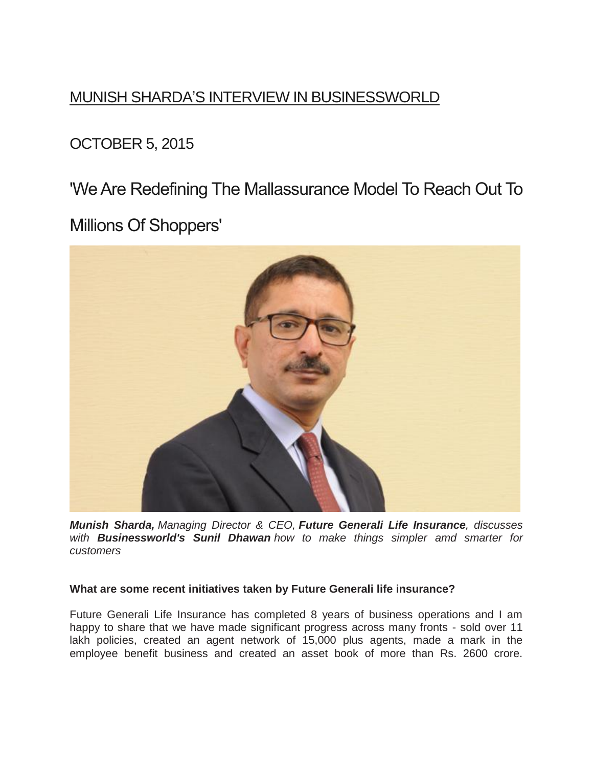# MUNISH SHARDA'S INTERVIEW IN BUSINESSWORLD

OCTOBER 5, 2015

'We Are Redefining The Mallassurance Model To Reach Out To

Millions Of Shoppers'



*Munish Sharda, Managing Director & CEO, Future Generali Life Insurance, discusses with Businessworld's Sunil Dhawan how to make things simpler amd smarter for customers*

## **What are some recent initiatives taken by Future Generali life insurance?**

Future Generali Life Insurance has completed 8 years of business operations and I am happy to share that we have made significant progress across many fronts - sold over 11 lakh policies, created an agent network of 15,000 plus agents, made a mark in the employee benefit business and created an asset book of more than Rs. 2600 crore.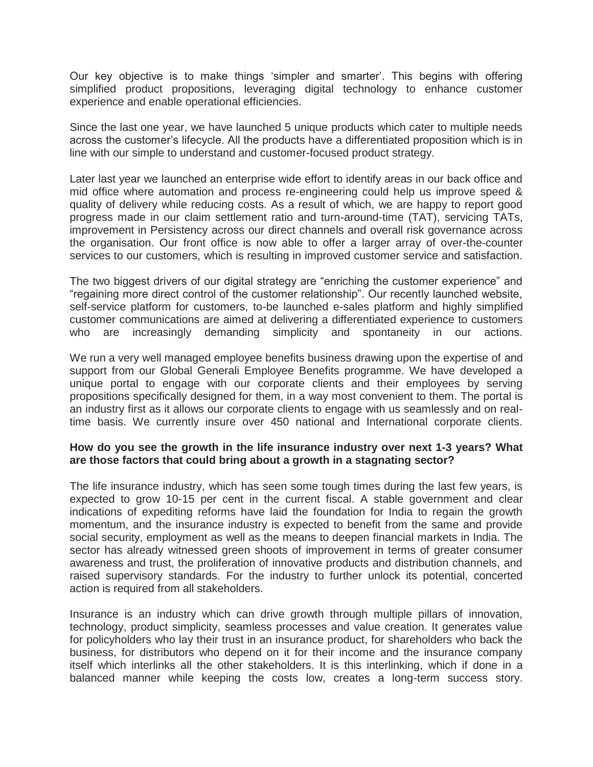Our key objective is to make things 'simpler and smarter'. This begins with offering simplified product propositions, leveraging digital technology to enhance customer experience and enable operational efficiencies.

Since the last one year, we have launched 5 unique products which cater to multiple needs across the customer's lifecycle. All the products have a differentiated proposition which is in line with our simple to understand and customer-focused product strategy.

Later last year we launched an enterprise wide effort to identify areas in our back office and mid office where automation and process re-engineering could help us improve speed & quality of delivery while reducing costs. As a result of which, we are happy to report good progress made in our claim settlement ratio and turn-around-time (TAT), servicing TATs, improvement in Persistency across our direct channels and overall risk governance across the organisation. Our front office is now able to offer a larger array of over-the-counter services to our customers, which is resulting in improved customer service and satisfaction.

The two biggest drivers of our digital strategy are "enriching the customer experience" and "regaining more direct control of the customer relationship". Our recently launched website, self-service platform for customers, to-be launched e-sales platform and highly simplified customer communications are aimed at delivering a differentiated experience to customers who are increasingly demanding simplicity and spontaneity in our actions.

We run a very well managed employee benefits business drawing upon the expertise of and support from our Global Generali Employee Benefits programme. We have developed a unique portal to engage with our corporate clients and their employees by serving propositions specifically designed for them, in a way most convenient to them. The portal is an industry first as it allows our corporate clients to engage with us seamlessly and on realtime basis. We currently insure over 450 national and International corporate clients.

#### **How do you see the growth in the life insurance industry over next 1-3 years? What are those factors that could bring about a growth in a stagnating sector?**

The life insurance industry, which has seen some tough times during the last few years, is expected to grow 10-15 per cent in the current fiscal. A stable government and clear indications of expediting reforms have laid the foundation for India to regain the growth momentum, and the insurance industry is expected to benefit from the same and provide social security, employment as well as the means to deepen financial markets in India. The sector has already witnessed green shoots of improvement in terms of greater consumer awareness and trust, the proliferation of innovative products and distribution channels, and raised supervisory standards. For the industry to further unlock its potential, concerted action is required from all stakeholders.

Insurance is an industry which can drive growth through multiple pillars of innovation, technology, product simplicity, seamless processes and value creation. It generates value for policyholders who lay their trust in an insurance product, for shareholders who back the business, for distributors who depend on it for their income and the insurance company itself which interlinks all the other stakeholders. It is this interlinking, which if done in a balanced manner while keeping the costs low, creates a long-term success story.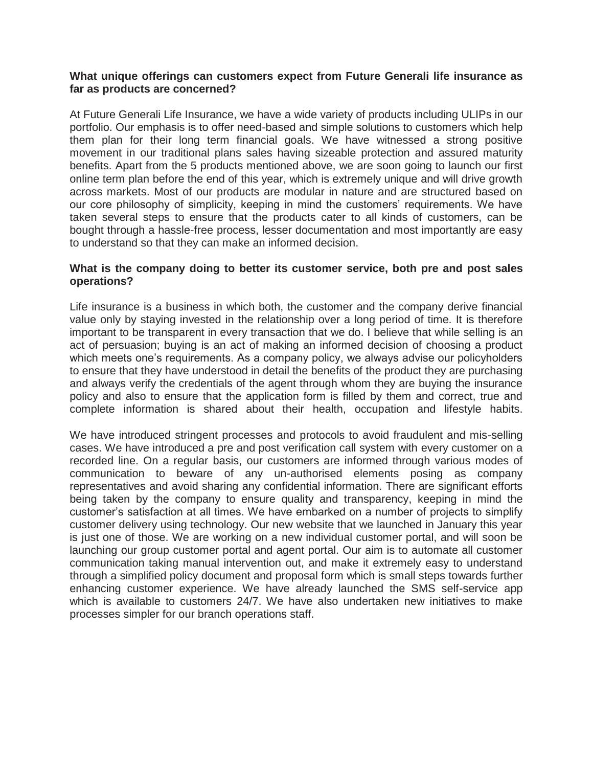#### **What unique offerings can customers expect from Future Generali life insurance as far as products are concerned?**

At Future Generali Life Insurance, we have a wide variety of products including ULIPs in our portfolio. Our emphasis is to offer need-based and simple solutions to customers which help them plan for their long term financial goals. We have witnessed a strong positive movement in our traditional plans sales having sizeable protection and assured maturity benefits. Apart from the 5 products mentioned above, we are soon going to launch our first online term plan before the end of this year, which is extremely unique and will drive growth across markets. Most of our products are modular in nature and are structured based on our core philosophy of simplicity, keeping in mind the customers' requirements. We have taken several steps to ensure that the products cater to all kinds of customers, can be bought through a hassle-free process, lesser documentation and most importantly are easy to understand so that they can make an informed decision.

#### **What is the company doing to better its customer service, both pre and post sales operations?**

Life insurance is a business in which both, the customer and the company derive financial value only by staying invested in the relationship over a long period of time. It is therefore important to be transparent in every transaction that we do. I believe that while selling is an act of persuasion; buying is an act of making an informed decision of choosing a product which meets one's requirements. As a company policy, we always advise our policyholders to ensure that they have understood in detail the benefits of the product they are purchasing and always verify the credentials of the agent through whom they are buying the insurance policy and also to ensure that the application form is filled by them and correct, true and complete information is shared about their health, occupation and lifestyle habits.

We have introduced stringent processes and protocols to avoid fraudulent and mis-selling cases. We have introduced a pre and post verification call system with every customer on a recorded line. On a regular basis, our customers are informed through various modes of communication to beware of any un-authorised elements posing as company representatives and avoid sharing any confidential information. There are significant efforts being taken by the company to ensure quality and transparency, keeping in mind the customer's satisfaction at all times. We have embarked on a number of projects to simplify customer delivery using technology. Our new website that we launched in January this year is just one of those. We are working on a new individual customer portal, and will soon be launching our group customer portal and agent portal. Our aim is to automate all customer communication taking manual intervention out, and make it extremely easy to understand through a simplified policy document and proposal form which is small steps towards further enhancing customer experience. We have already launched the SMS self-service app which is available to customers 24/7. We have also undertaken new initiatives to make processes simpler for our branch operations staff.